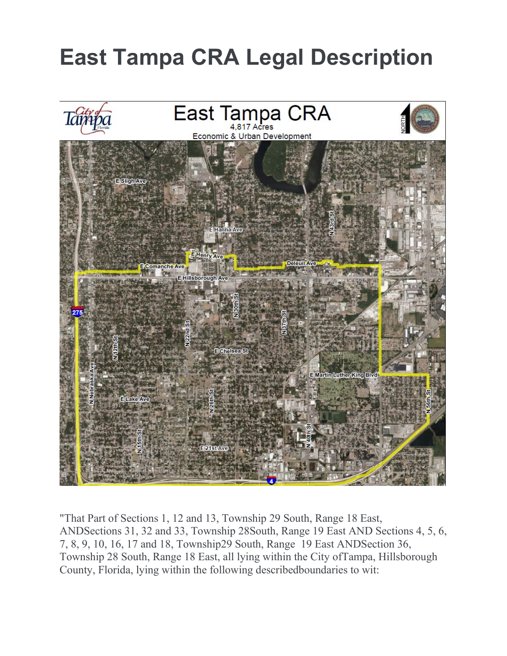

"That Part of Sections 1, 12 and 13, Township 29 South, Range 18 East, ANDSections 31, 32 and 33, Township 28South, Range 19 East AND Sections 4, 5, 6, 7, 8, 9, 10, 16, 17 and 18, Township29 South, Range 19 East ANDSection 36, Township 28 South, Range 18 East, all lying within the City ofTampa, Hillsborough County, Florida, lying within the following describedboundaries to wit: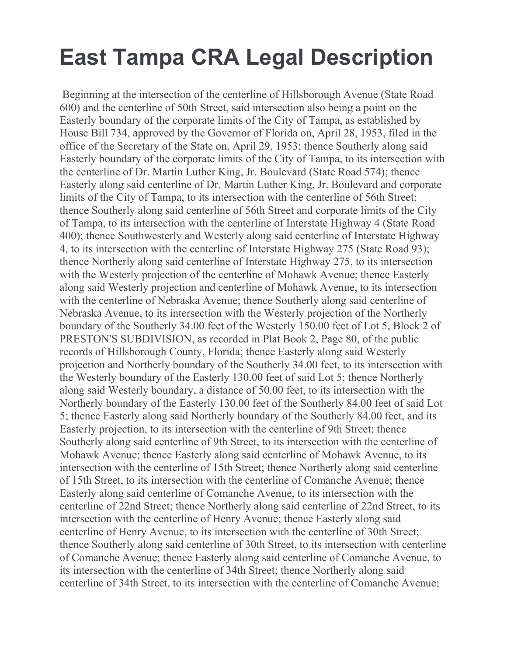Beginning at the intersection of the centerline of Hillsborough Avenue (State Road 600) and the centerline of 50th Street, said intersection also being a point on the Easterly boundary of the corporate limits of the City of Tampa, as established by House Bill 734, approved by the Governor of Florida on, April 28, 1953, filed in the office of the Secretary of the State on, April 29, 1953; thence Southerly along said Easterly boundary of the corporate limits of the City of Tampa, to its intersection with the centerline of Dr. Martin Luther King, Jr. Boulevard (State Road 574); thence Easterly along said centerline of Dr. Martin Luther King, Jr. Boulevard and corporate limits of the City of Tampa, to its intersection with the centerline of 56th Street; thence Southerly along said centerline of 56th Street and corporate limits of the City of Tampa, to its intersection with the centerline of Interstate Highway 4 (State Road 400); thence Southwesterly and Westerly along said centerline of Interstate Highway 4, to its intersection with the centerline of Interstate Highway 275 (State Road 93); thence Northerly along said centerline of Interstate Highway 275, to its intersection with the Westerly projection of the centerline of Mohawk Avenue; thence Easterly along said Westerly projection and centerline of Mohawk Avenue, to its intersection with the centerline of Nebraska Avenue; thence Southerly along said centerline of Nebraska Avenue, to its intersection with the Westerly projection of the Northerly boundary of the Southerly 34.00 feet of the Westerly 150.00 feet of Lot 5, Block 2 of PRESTON'S SUBDIVISION, as recorded in Plat Book 2, Page 80, of the public records of Hillsborough County, Florida; thence Easterly along said Westerly projection and Northerly boundary of the Southerly 34.00 feet, to its intersection with the Westerly boundary of the Easterly 130.00 feet of said Lot 5; thence Northerly along said Westerly boundary, a distance of 50.00 feet, to its intersection with the Northerly boundary of the Easterly 130.00 feet of the Southerly 84.00 feet of said Lot 5; thence Easterly along said Northerly boundary of the Southerly 84.00 feet, and its Easterly projection, to its intersection with the centerline of 9th Street; thence Southerly along said centerline of 9th Street, to its intersection with the centerline of Mohawk Avenue; thence Easterly along said centerline of Mohawk Avenue, to its intersection with the centerline of 15th Street; thence Northerly along said centerline of 15th Street, to its intersection with the centerline of Comanche Avenue; thence Easterly along said centerline of Comanche Avenue, to its intersection with the centerline of 22nd Street; thence Northerly along said centerline of 22nd Street, to its intersection with the centerline of Henry Avenue; thence Easterly along said centerline of Henry Avenue, to its intersection with the centerline of 30th Street; thence Southerly along said centerline of 30th Street, to its intersection with centerline of Comanche Avenue; thence Easterly along said centerline of Comanche Avenue, to its intersection with the centerline of 34th Street; thence Northerly along said centerline of 34th Street, to its intersection with the centerline of Comanche Avenue;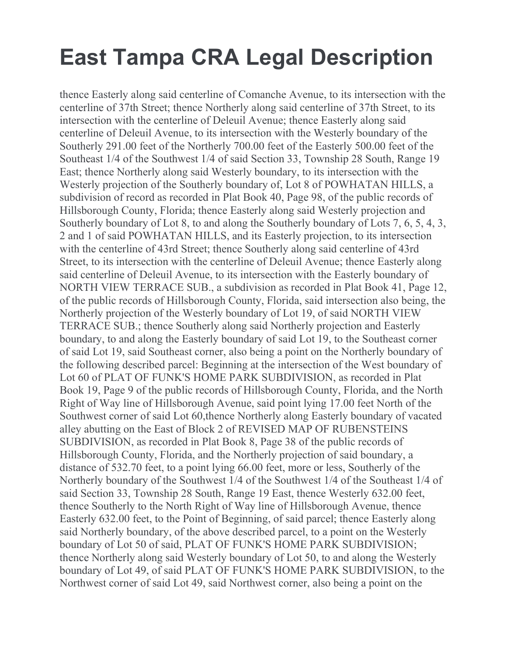thence Easterly along said centerline of Comanche Avenue, to its intersection with the centerline of 37th Street; thence Northerly along said centerline of 37th Street, to its intersection with the centerline of Deleuil Avenue; thence Easterly along said centerline of Deleuil Avenue, to its intersection with the Westerly boundary of the Southerly 291.00 feet of the Northerly 700.00 feet of the Easterly 500.00 feet of the Southeast 1/4 of the Southwest 1/4 of said Section 33, Township 28 South, Range 19 East; thence Northerly along said Westerly boundary, to its intersection with the Westerly projection of the Southerly boundary of, Lot 8 of POWHATAN HILLS, a subdivision of record as recorded in Plat Book 40, Page 98, of the public records of Hillsborough County, Florida; thence Easterly along said Westerly projection and Southerly boundary of Lot 8, to and along the Southerly boundary of Lots 7, 6, 5, 4, 3, 2 and 1 of said POWHATAN HILLS, and its Easterly projection, to its intersection with the centerline of 43rd Street; thence Southerly along said centerline of 43rd Street, to its intersection with the centerline of Deleuil Avenue; thence Easterly along said centerline of Deleuil Avenue, to its intersection with the Easterly boundary of NORTH VIEW TERRACE SUB., a subdivision as recorded in Plat Book 41, Page 12, of the public records of Hillsborough County, Florida, said intersection also being, the Northerly projection of the Westerly boundary of Lot 19, of said NORTH VIEW TERRACE SUB.; thence Southerly along said Northerly projection and Easterly boundary, to and along the Easterly boundary of said Lot 19, to the Southeast corner of said Lot 19, said Southeast corner, also being a point on the Northerly boundary of the following described parcel: Beginning at the intersection of the West boundary of Lot 60 of PLAT OF FUNK'S HOME PARK SUBDIVISION, as recorded in Plat Book 19, Page 9 of the public records of Hillsborough County, Florida, and the North Right of Way line of Hillsborough Avenue, said point lying 17.00 feet North of the Southwest corner of said Lot 60,thence Northerly along Easterly boundary of vacated alley abutting on the East of Block 2 of REVISED MAP OF RUBENSTEINS SUBDIVISION, as recorded in Plat Book 8, Page 38 of the public records of Hillsborough County, Florida, and the Northerly projection of said boundary, a distance of 532.70 feet, to a point lying 66.00 feet, more or less, Southerly of the Northerly boundary of the Southwest 1/4 of the Southwest 1/4 of the Southeast 1/4 of said Section 33, Township 28 South, Range 19 East, thence Westerly 632.00 feet, thence Southerly to the North Right of Way line of Hillsborough Avenue, thence Easterly 632.00 feet, to the Point of Beginning, of said parcel; thence Easterly along said Northerly boundary, of the above described parcel, to a point on the Westerly boundary of Lot 50 of said, PLAT OF FUNK'S HOME PARK SUBDIVISION; thence Northerly along said Westerly boundary of Lot 50, to and along the Westerly boundary of Lot 49, of said PLAT OF FUNK'S HOME PARK SUBDIVISION, to the Northwest corner of said Lot 49, said Northwest corner, also being a point on the